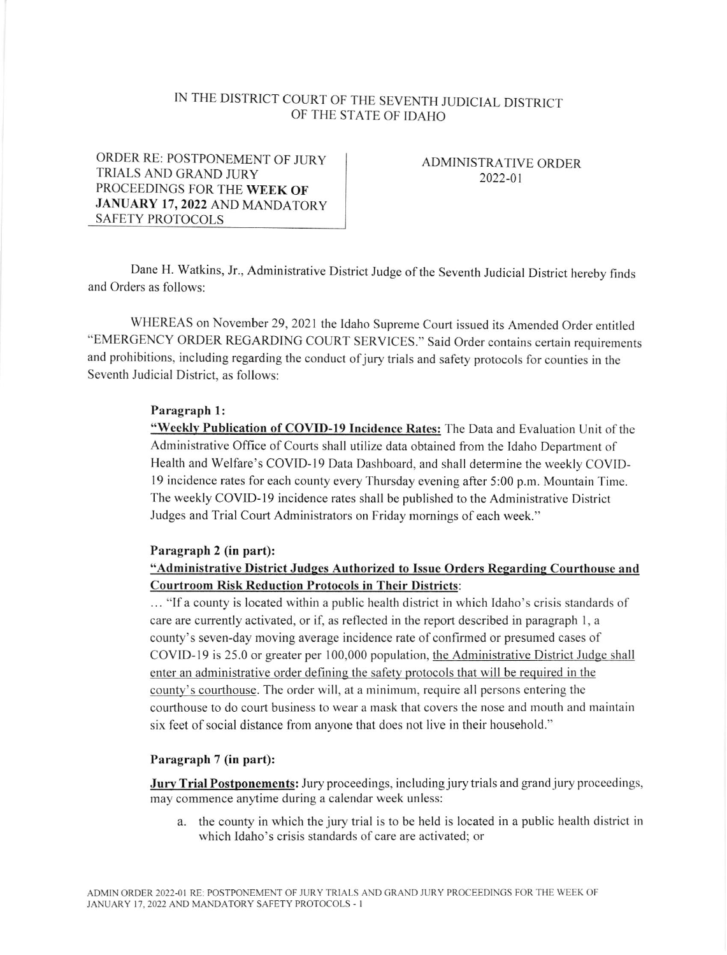## IN THE DISTRICT COURT OF THE SEVENTH JUDICIAL DISTRICT OF THE STATE OF IDAHO

ORDER RE: POSTPONEMENT OF JURY TRIALS AND GRAND JURY PROCEEDINGS FOR THE WEEK OF JANUARY 17,2022 AND MANDATORY SAFETY PROTOCOLS

ADMINISTRATIVE ORDER 2022-01

Dane H. watkins, Jr., Administrative District Judge of the Seventh Judicial District hereby finds and Orders as follows:

WHEREAS on November 29, 2021 the ldaho Supreme Court issued its Amended Order entitled 'EMERGENCY ORDER REGARDING COURT SERVICES." Said Order contains certain requirements and prohibitions, including regarding the conduct of jury trials and safety protocols for counties in the Seventh Judicial District, as follows:

#### Paragraph l:

"Weekly Publication of COVID-19 Incidence Rates: The Data and Evaluation Unit of the Administrative Office of Courts shall utilize data obtained from the Idaho Department of Health and Welfare's COVID-19 Data Dashboard, and shall determine the weekly COVIDl9 incidence rates for each county every Thursday evening after 5:00 p.m. Mountain 'firne. The weekly COVID-19 incidence rates shall be published to the Administrative District Judges and Trial Court Administrators on Friday mornings of each week."

#### Paragraph 2 (in part):

### "Administrative District Judges Authorized to Issue Orders Regarding Courthouse and Courtroom Risk Reduction Protocols in Their Districts:

... "lfa county is located within a public health district in which Idaho's crisis standards of care are currently activated, or if, as reflected in the report described in paragraph l, <sup>a</sup> county's seven-day moving average incidence rate of confirmed or presumed cases of COVID-19 is 25.0 or greater per 100,000 population, the Administrative District Judge shall enter an administrative order defining the safety protocols that will be required in the county's courthouse. The order will, at a minimum, require all persons entering the courthouse to do court business to wear a mask that covers the nose and mouth and maintain six feet of social distance from anyone that does not live in their household."

### Paragraph 7 (in part):

Jury Trial Postponements: Jury proceedings, including jury trials and grand jury proceedings, may commence anyime during a calendar week unless:

a. the county in which the jury trial is to be held is located in a public health district in which Idaho's crisis standards of care are activated; or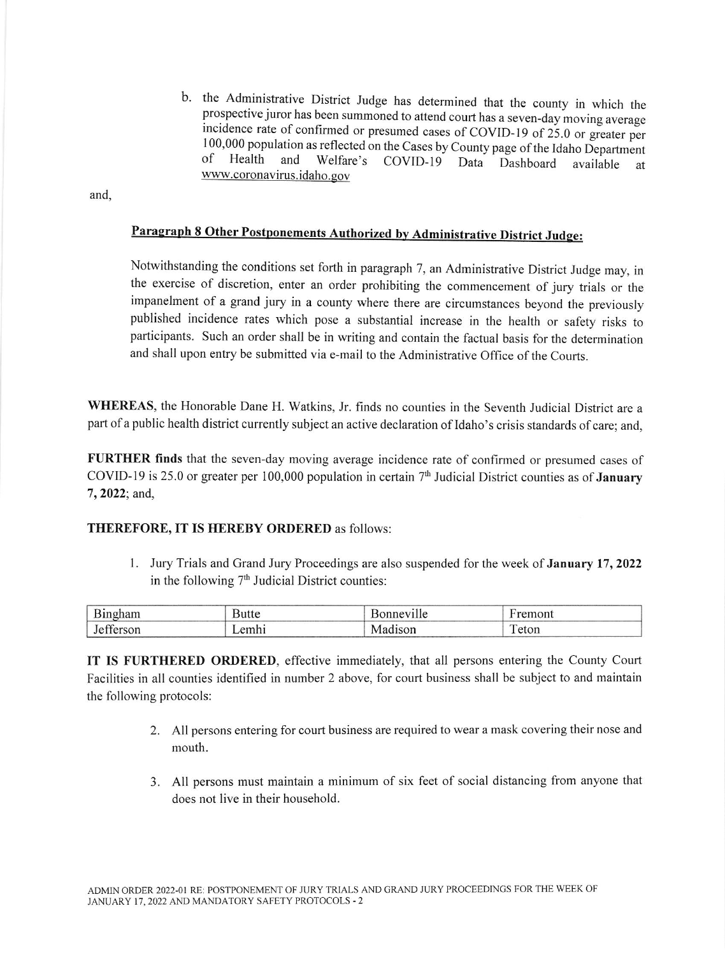b. the Administrative District Judge has determined that the county in which the prospective juror has been summoned to attend court has a seven-day moving average incidence rate of confirmed or presumed cases of COVID-19 of 25.0 or greater per 100,000 population as reflected on the Cases by County page of the Idaho Department<br>of Health and Welfare's COVID-19 Data Dashboard available at available www.coronavirus.idaho.gov

and,

# Paragraph 8 Other Postponements Authorized by Administrative District Jud

Notwithstanding the conditions set fofth in paragraph 7, an Administrative District Judge may, in the exercise of discretion, enter an order prohibiting the commencement of jury trials or the impanelment of a grand jury in a county where there are circumstances beyond the previously published incidence rates which pose a substantial increase in the health or safety risks to participants. Such an order shall be in writing and contain the factual basis for the determination and shall upon entry be submitted via e-mail to the Administrative Office of the Courts.

WHEREAS, the Honorable Dane H. Watkins, Jr. finds no counties in the Seventh Judicial District are a part of a public health district currently subject an active declaration of Idaho's crisis standards of care; and,

FURTHER finds that the seven-day moving average incidence rate of confirmed or presumed cases of COVID-19 is 25.0 or greater per 100,000 population in certain  $7<sup>th</sup>$  Judicial District counties as of **January** 7,2022; and,

### THEREFORE, IT IS HEREBY ORDERED as follows:

1. Jury Trials and Grand Jury Proceedings are also suspended for the week of January 17,2022 in the following  $7<sup>th</sup>$  Judicial District counties:

| $\sim$ |  |  |
|--------|--|--|

IT IS FIIRTHERED ORDERED, effective immediately, that all persons entering the County Court Facilities in all counties identified in number 2 above, for court business shall be subject to and maintain the following protocols:

- 2. All persons entering for court business are required to wear a mask covering their nose and mouth.
- 3. All persons must maintain a minimum of six feet of social distancing from anyone that does not live in their household.